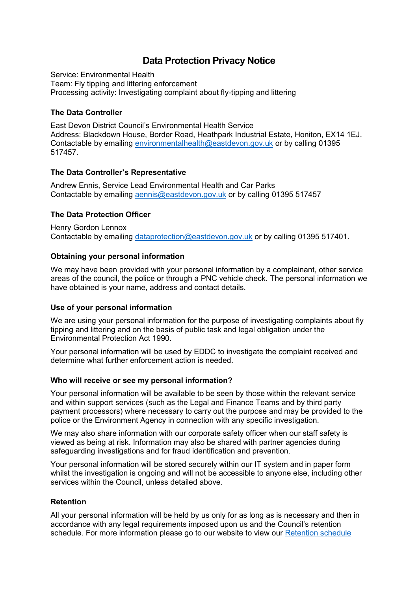# **Data Protection Privacy Notice**

Service: Environmental Health Team: Fly tipping and littering enforcement Processing activity: Investigating complaint about fly-tipping and littering

## **The Data Controller**

East Devon District Council's Environmental Health Service Address: Blackdown House, Border Road, Heathpark Industrial Estate, Honiton, EX14 1EJ. Contactable by emailing [environmentalhealth@eastdevon.gov.uk](mailto:environmentalhealth@eastdevon.gov.uk) or by calling 01395 517457.

# **The Data Controller's Representative**

Andrew Ennis, Service Lead Environmental Health and Car Parks Contactable by emailing [aennis@eastdevon.gov.uk](mailto:aennis@eastdevon.gov.uk) or by calling 01395 517457

# **The Data Protection Officer**

Henry Gordon Lennox Contactable by emailing [dataprotection@eastdevon.gov.uk](mailto:dataprotection@eastdevon.gov.uk) or by calling 01395 517401.

#### **Obtaining your personal information**

We may have been provided with your personal information by a complainant, other service areas of the council, the police or through a PNC vehicle check. The personal information we have obtained is your name, address and contact details.

#### **Use of your personal information**

We are using your personal information for the purpose of investigating complaints about fly tipping and littering and on the basis of public task and legal obligation under the Environmental Protection Act 1990.

Your personal information will be used by EDDC to investigate the complaint received and determine what further enforcement action is needed.

#### **Who will receive or see my personal information?**

Your personal information will be available to be seen by those within the relevant service and within support services (such as the Legal and Finance Teams and by third party payment processors) where necessary to carry out the purpose and may be provided to the police or the Environment Agency in connection with any specific investigation.

We may also share information with our corporate safety officer when our staff safety is viewed as being at risk. Information may also be shared with partner agencies during safeguarding investigations and for fraud identification and prevention.

Your personal information will be stored securely within our IT system and in paper form whilst the investigation is ongoing and will not be accessible to anyone else, including other services within the Council, unless detailed above.

#### **Retention**

All your personal information will be held by us only for as long as is necessary and then in accordance with any legal requirements imposed upon us and the Council's retention schedule. For more information please go to our website to view our [Retention schedule](http://eastdevon.gov.uk/access-to-information/data-protection/document-retention-schedules/)